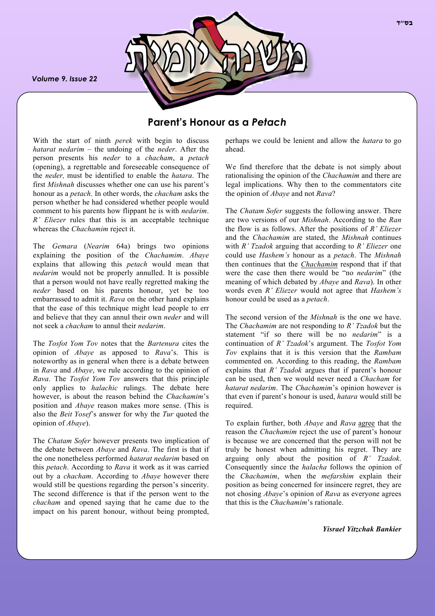*Volume 9. Issue 22*



# **Parent's Honour as a** *Petach*

With the start of ninth *perek* with begin to discuss *hatarat nedarim* – the undoing of the *neder*. After the person presents his *neder* to a *chacham*, a *petach* (opening), a regrettable and foreseeable consequence of the *neder,* must be identified to enable the *hatara*. The first *Mishnah* discusses whether one can use his parent's honour as a *petach*. In other words, the *chacham* asks the person whether he had considered whether people would comment to his parents how flippant he is with *nedarim*. *R' Eliezer* rules that this is an acceptable technique whereas the *Chachamim* reject it.

The *Gemara* (*Nearim* 64a) brings two opinions explaining the position of the *Chachamim*. *Abaye* explains that allowing this *petach* would mean that *nedarim* would not be properly annulled. It is possible that a person would not have really regretted making the *neder* based on his parents honour, yet be too embarrassed to admit it. *Rava* on the other hand explains that the ease of this technique might lead people to err and believe that they can annul their own *neder* and will not seek a *chacham* to annul their *nedarim*.

The *Tosfot Yom Tov* notes that the *Bartenura* cites the opinion of *Abaye* as apposed to *Rava*'s. This is noteworthy as in general when there is a debate between in *Rava* and *Abaye*, we rule according to the opinion of *Rava*. The *Tosfot Yom Tov* answers that this principle only applies to *halachic* rulings. The debate here however, is about the reason behind the *Chachamim*'s position and *Abaye* reason makes more sense. (This is also the *Beit Yosef*'s answer for why the *Tur* quoted the opinion of *Abaye*).

The *Chatam Sofer* however presents two implication of the debate between *Abaye* and *Rava*. The first is that if the one nonetheless performed *hatarat nedarim* based on this *petach*. According to *Rava* it work as it was carried out by a *chacham*. According to *Abaye* however there would still be questions regarding the person's sincerity. The second difference is that if the person went to the *chacham* and opened saying that he came due to the impact on his parent honour, without being prompted, perhaps we could be lenient and allow the *hatara* to go ahead.

We find therefore that the debate is not simply about rationalising the opinion of the *Chachamim* and there are legal implications. Why then to the commentators cite the opinion of *Abaye* and not *Rava*?

The *Chatam Sofer* suggests the following answer. There are two versions of our *Mishnah*. According to the *Ran*  the flow is as follows. After the positions of *R' Eliezer* and the *Chachamim* are stated, the *Mishnah* continues with *R' Tzadok* arguing that according to *R' Eliezer* one could use *Hashem's* honour as a *petach*. The *Mishnah* then continues that the *Chachamim* respond that if that were the case then there would be "no *nedarim*" (the meaning of which debated by *Abaye* and *Rava*). In other words even *R' Eliezer* would not agree that *Hashem's* honour could be used as a *petach*.

The second version of the *Mishnah* is the one we have. The *Chachamim* are not responding to *R' Tzadok* but the statement "if so there will be no *nedarim*" is a continuation of *R' Tzadok*'s argument. The *Tosfot Yom Tov* explains that it is this version that the *Rambam* commented on. According to this reading, the *Rambam*  explains that *R' Tzadok* argues that if parent's honour can be used, then we would never need a *Chacham* for *hatarat nedarim*. The *Chachamim*'s opinion however is that even if parent's honour is used, *hatara* would still be required.

To explain further, both *Abaye* and *Rava* agree that the reason the *Chachamim* reject the use of parent's honour is because we are concerned that the person will not be truly be honest when admitting his regret. They are arguing only about the position of *R' Tzadok*. Consequently since the *halacha* follows the opinion of the *Chachamim*, when the *mefarshim* explain their position as being concerned for insincere regret, they are not chosing *Abaye*'s opinion of *Rava* as everyone agrees that this is the *Chachamim*'s rationale.

*Yisrael Yitzchak Bankier*